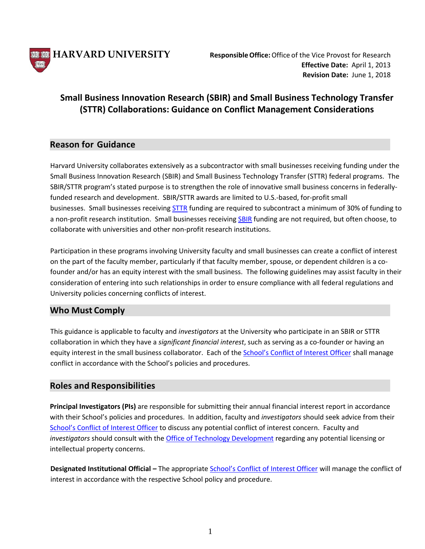

# **Small Business Innovation Research (SBIR) and Small Business Technology Transfer (STTR) Collaborations: Guidance on Conflict Management Considerations**

### **Reason for Guidance**

Harvard University collaborates extensively as a subcontractor with small businesses receiving funding under the Small Business Innovation Research (SBIR) and Small Business Technology Transfer (STTR) federal programs. The SBIR/STTR program's stated purpose is to strengthen the role of innovative small business concerns in federallyfunded research and development. SBIR/STTR awards are limited to U.S.-based, for-profit small businesses. Small businesses receiving [STTR](https://www.sbir.gov/about/about-sttr) funding are required to subcontract a minimum of 30% of funding to a non-profit research institution. Small businesses receiving [SBIR](https://www.sbir.gov/about/about-sbir) funding are not required, but often choose, to collaborate with universities and other non-profit research institutions.

Participation in these programs involving University faculty and small businesses can create a conflict of interest on the part of the faculty member, particularly if that faculty member, spouse, or dependent children is a cofounder and/or has an equity interest with the small business. The following guidelines may assist faculty in their consideration of entering into such relationships in order to ensure compliance with all federal regulations and University policies concerning conflicts of interest.

### **Who Must Comply**

This guidance is applicable to faculty and *investigators* at the University who participate in an SBIR or STTR collaboration in which they have a *significant financial interest*, such as serving as a co-founder or having an equity interest in the small business collaborator. Each of th[e School's Conflict of Interest Officer](https://vpr.harvard.edu/pages/financial-conflict-interest-policy) shall manage conflict in accordance with the School's policies and procedures.

### **Roles and Responsibilities**

**Principal Investigators (PIs)** are responsible for submitting their annual financial interest report in accordance with their School's policies and procedures. In addition, faculty and *investigators* should seek advice from their [School's Conflict of Interest Officer](https://vpr.harvard.edu/pages/financial-conflict-interest-policy) to discuss any potential conflict of interest concern. Faculty and *investigators* should consult with the [Office of Technology Development](https://otd.harvard.edu/) regarding any potential licensing or intellectual property concerns.

**Designated Institutional Official** *–* The appropriate [School's Conflict of Interest Officer](https://vpr.harvard.edu/pages/financial-conflict-interest-policy) will manage the conflict of interest in accordance with the respective School policy and procedure.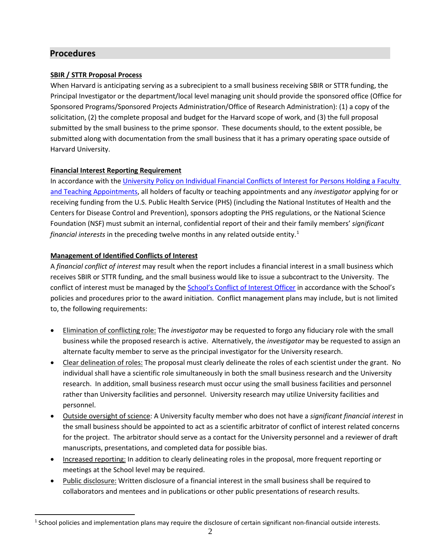### **Procedures**

#### **SBIR / STTR Proposal Process**

When Harvard is anticipating serving as a subrecipient to a small business receiving SBIR or STTR funding, the Principal Investigator or the department/local level managing unit should provide the sponsored office (Office for Sponsored Programs/Sponsored Projects Administration/Office of Research Administration): (1) a copy of the solicitation, (2) the complete proposal and budget for the Harvard scope of work, and (3) the full proposal submitted by the small business to the prime sponsor. These documents should, to the extent possible, be submitted along with documentation from the small business that it has a primary operating space outside of Harvard University.

#### **Financial Interest Reporting Requirement**

In accordance with the [University Policy on Individual Financial Conflicts of Interest for Persons Holding a Faculty](http://vpr.harvard.edu/content/guidance-harvard-administrators)  [and Teaching Appointments,](http://vpr.harvard.edu/content/guidance-harvard-administrators) all holders of faculty or teaching appointments and any *investigator* applying for or receiving funding from the U.S. Public Health Service (PHS) (including the National Institutes of Health and the Centers for Disease Control and Prevention), sponsors adopting the PHS regulations, or the National Science Foundation (NSF) must submit an internal, confidential report of their and their family members' *significant financial interests* in the preceding twelve months in any related outside entity. [1](#page-1-0)

#### **Management of Identified Conflicts of Interest**

A *financial conflict of interest* may result when the report includes a financial interest in a small business which receives SBIR or STTR funding, and the small business would like to issue a subcontract to the University. The conflict of interest must be managed by the [School's Conflict of Interest Officer](https://vpr.harvard.edu/pages/financial-conflict-interest-policy) in accordance with the School's policies and procedures prior to the award initiation. Conflict management plans may include, but is not limited to, the following requirements:

- Elimination of conflicting role: The *investigator* may be requested to forgo any fiduciary role with the small business while the proposed research is active. Alternatively, the *investigator* may be requested to assign an alternate faculty member to serve as the principal investigator for the University research.
- Clear delineation of roles: The proposal must clearly delineate the roles of each scientist under the grant. No individual shall have a scientific role simultaneously in both the small business research and the University research. In addition, small business research must occur using the small business facilities and personnel rather than University facilities and personnel. University research may utilize University facilities and personnel.
- Outside oversight of science: A University faculty member who does not have a *significant financial interest* in the small business should be appointed to act as a scientific arbitrator of conflict of interest related concerns for the project. The arbitrator should serve as a contact for the University personnel and a reviewer of draft manuscripts, presentations, and completed data for possible bias.
- Increased reporting: In addition to clearly delineating roles in the proposal, more frequent reporting or meetings at the School level may be required.
- Public disclosure: Written disclosure of a financial interest in the small business shall be required to collaborators and mentees and in publications or other public presentations of research results.

<span id="page-1-0"></span> $1$  School policies and implementation plans may require the disclosure of certain significant non-financial outside interests.